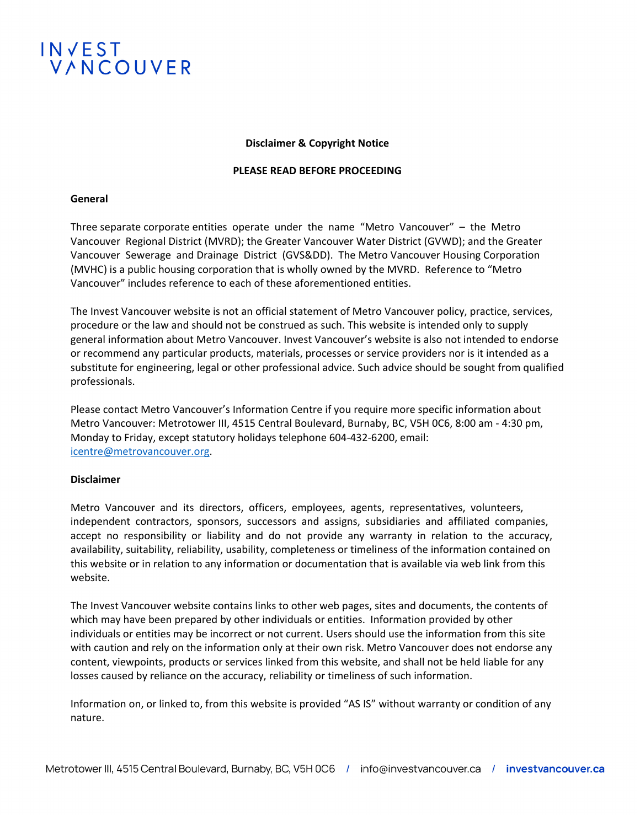

### **Disclaimer & Copyright Notice**

#### **PLEASE READ BEFORE PROCEEDING**

#### **General**

Three separate corporate entities operate under the name "Metro Vancouver" – the Metro Vancouver Regional District (MVRD); the Greater Vancouver Water District (GVWD); and the Greater Vancouver Sewerage and Drainage District (GVS&DD). The Metro Vancouver Housing Corporation (MVHC) is a public housing corporation that is wholly owned by the MVRD. Reference to "Metro Vancouver" includes reference to each of these aforementioned entities.

The Invest Vancouver website is not an official statement of Metro Vancouver policy, practice, services, procedure or the law and should not be construed as such. This website is intended only to supply general information about Metro Vancouver. Invest Vancouver's website is also not intended to endorse or recommend any particular products, materials, processes or service providers nor is it intended as a substitute for engineering, legal or other professional advice. Such advice should be sought from qualified professionals.

Please contact Metro Vancouver's Information Centre if you require more specific information about Metro Vancouver: Metrotower III, 4515 Central Boulevard, Burnaby, BC, V5H 0C6, 8:00 am - 4:30 pm, Monday to Friday, except statutory holidays telephone 604-432-6200, email: [icentre@metrovancouver.org.](mailto:icentre@metrovancouver.org)

## **Disclaimer**

Metro Vancouver and its directors, officers, employees, agents, representatives, volunteers, independent contractors, sponsors, successors and assigns, subsidiaries and affiliated companies, accept no responsibility or liability and do not provide any warranty in relation to the accuracy, availability, suitability, reliability, usability, completeness or timeliness of the information contained on this website or in relation to any information or documentation that is available via web link from this website.

The Invest Vancouver website contains links to other web pages, sites and documents, the contents of which may have been prepared by other individuals or entities. Information provided by other individuals or entities may be incorrect or not current. Users should use the information from this site with caution and rely on the information only at their own risk. Metro Vancouver does not endorse any content, viewpoints, products or services linked from this website, and shall not be held liable for any losses caused by reliance on the accuracy, reliability or timeliness of such information.

Information on, or linked to, from this website is provided "AS IS" without warranty or condition of any nature.